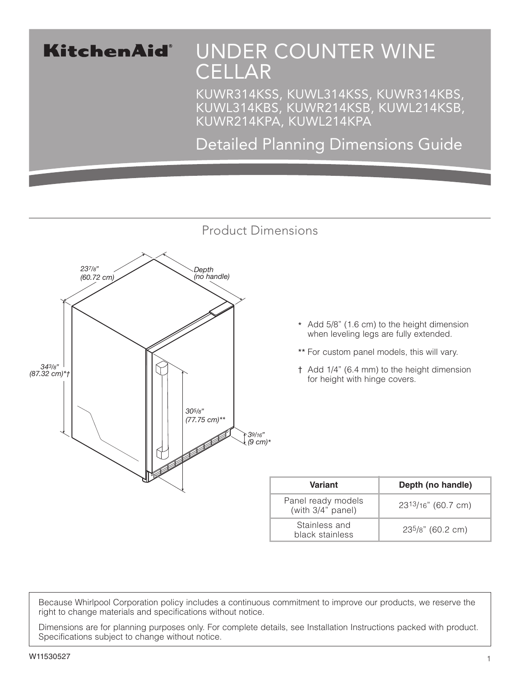## KitchenAid®

# UNDER COUNTER WINE **CELLAR**

KUWR314KSS, KUWL314KSS, KUWR314KBS, KUWL314KBS, KUWR214KSB, KUWL214KSB, KUWR214KPA, KUWL214KPA

Detailed Planning Dimensions Guide



- \* Add 5/8" (1.6 cm) to the height dimension when leveling legs are fully extended.
- \*\* For custom panel models, this will vary.
- † Add 1/4" (6.4 mm) to the height dimension for height with hinge covers.

| <b>Variant</b>                          | Depth (no handle)  |
|-----------------------------------------|--------------------|
| Panel ready models<br>(with 3/4" panel) | 2313/16" (60.7 cm) |
| Stainless and<br>black stainless        | 235/8" (60.2 cm)   |

Because Whirlpool Corporation policy includes a continuous commitment to improve our products, we reserve the right to change materials and specifications without notice.

Dimensions are for planning purposes only. For complete details, see Installation Instructions packed with product. Specifications subject to change without notice.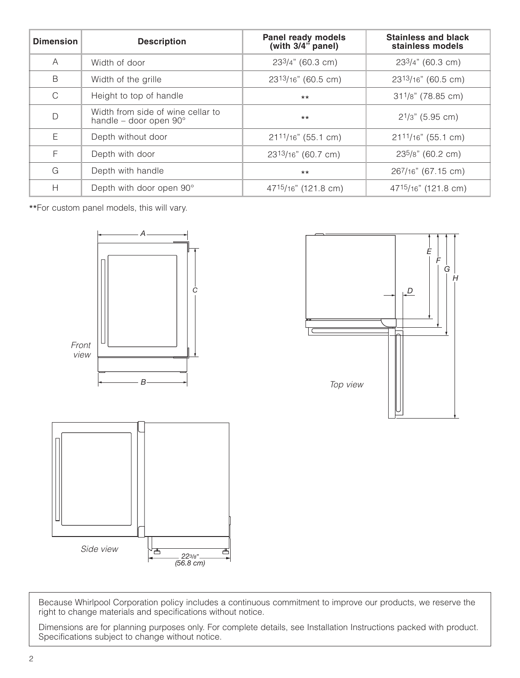| <b>Dimension</b> | <b>Description</b>                                          | <b>Stainless and black</b><br>Panel ready models<br>(with $3/4$ <sup>"</sup> panel)<br>stainless models |                          |  |
|------------------|-------------------------------------------------------------|---------------------------------------------------------------------------------------------------------|--------------------------|--|
| Α                | Width of door                                               | 233/4" (60.3 cm)                                                                                        | 233/4" (60.3 cm)         |  |
| B                | Width of the grille                                         | 2313/16" (60.5 cm)                                                                                      | 2313/16" (60.5 cm)       |  |
| $\mathsf{C}$     | Height to top of handle                                     | $***$                                                                                                   | $31^{1}/8$ " (78.85 cm)  |  |
| $\mathsf{D}$     | Width from side of wine cellar to<br>handle - door open 90° | $***$                                                                                                   | $2^{1/3}$ " (5.95 cm)    |  |
| Е                | Depth without door                                          | 2111/16" (55.1 cm)                                                                                      | $21^{11/16}$ " (55.1 cm) |  |
| $\mathsf{F}$     | Depth with door                                             | 2313/16" (60.7 cm)                                                                                      | 235/8" (60.2 cm)         |  |
| G                | Depth with handle                                           | 267/16" (67.15 cm)<br>$***$                                                                             |                          |  |
| H                | Depth with door open 90°                                    | 4715/16" (121.8 cm)<br>47 <sup>15</sup> /16" (121.8 cm)                                                 |                          |  |

\*\*For custom panel models, this will vary.





Because Whirlpool Corporation policy includes a continuous commitment to improve our products, we reserve the right to change materials and specifications without notice.

Dimensions are for planning purposes only. For complete details, see Installation Instructions packed with product. Specifications subject to change without notice.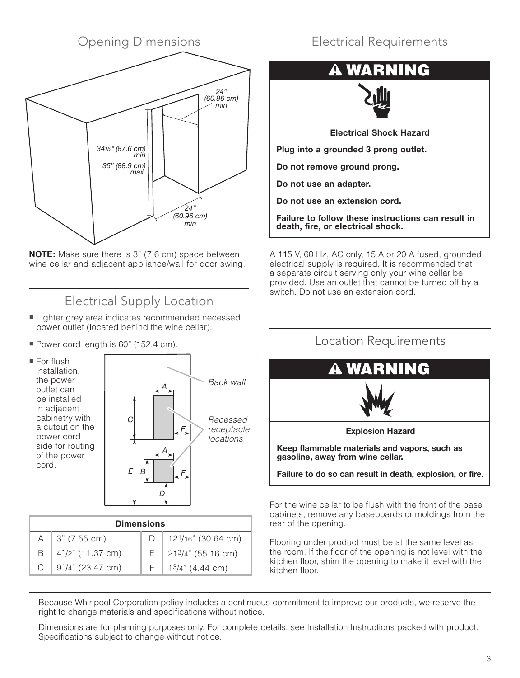

**NOTE:** Make sure there is 3" (7.6 cm) space between wine cellar and adjacent appliance/wall for door swing.

### Electrical Supply Location

- Lighter grey area indicates recommended necessed power outlet (located behind the wine cellar).
- Power cord length is 60" (152.4 cm).



| <b>Dimensions</b> |                            |  |                                 |  |  |
|-------------------|----------------------------|--|---------------------------------|--|--|
|                   | $A \mid 3" (7.55 cm)$      |  | 12 <sup>1</sup> /16" (30.64 cm) |  |  |
| B.                | $4^{1}/2$ " (11.37 cm)     |  | $E$ 213/4" (55.16 cm)           |  |  |
|                   | C   $9^{1}/4$ " (23.47 cm) |  | $13/4$ " (4.44 cm)              |  |  |

### Electrical Requirements

### **NING** WZ



**Electrical Shock Hazard**

**Plug into a grounded 3 prong outlet.**

**Do not remove ground prong.**

**Do not use an adapter.**

**Do not use an extension cord.**

**Failure to follow these instructions can result in death, fire, or electrical shock.**

A 115 V, 60 Hz, AC only, 15 A or 20 A fused, grounded electrical supply is required. It is recommended that a separate circuit serving only your wine cellar be provided. Use an outlet that cannot be turned off by a switch. Do not use an extension cord.



For the wine cellar to be flush with the front of the base cabinets, remove any baseboards or moldings from the rear of the opening.

Flooring under product must be at the same level as the room. If the floor of the opening is not level with the kitchen floor, shim the opening to make it level with the kitchen floor.

Because Whirlpool Corporation policy includes a continuous commitment to improve our products, we reserve the right to change materials and specifications without notice.

Dimensions are for planning purposes only. For complete details, see Installation Instructions packed with product. Specifications subject to change without notice.